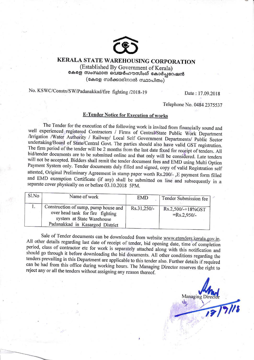

## KERALA STATE WAREHOUSING CORPORATION

(Established By Government of Kerala) കേരള സംസ്ഥാന വെയർഹൗസിംഗ് കോർപ്പറേഷൻ (കേരള സർക്കാരിനാൽ സ്ഥാപിതം)

No. KSWC/Constn/SW/Padanakkad/fire fighting /2018-19 Date : 17.09.2018

Telephone No. 0484 2375537

## **E-Tender Notice for Execution of works**

The Tender for the execution of the following work is invited from financially sound and<br>well experienced registered Contractors / Firms of Central/State Public Work Department<br>/Irrigation /Water Authority / Railway/ Local bid/tender documents are to be submitted online and that only will be considered. Late tenders<br>will not be accepted. Bidders shall remit the tender document fees and EMD using Multi Option<br>Payment System only. Tender docum and EMD exemption Certificate (if any) shall be submitted on line and subsequently in a separate cover physically on or before 03.10.2018 5PM.

| Sl.No | Name of work                                                                                                                             | <b>EMD</b>  | Tender Submission fee              |
|-------|------------------------------------------------------------------------------------------------------------------------------------------|-------------|------------------------------------|
|       | Construction of sump, pump house and<br>over head tank for fire fighting<br>system at State Warehouse<br>Padanakkad in Kasargod District | Rs.31,250/- | Rs.2,500/-+18%GST<br>$=Rs.2,950/-$ |

Sale of Tender documents can be downloaded from website www.etenders.kerala.gov.in.<br>All other details regarding last date of receipt of tender, bid opening date, time of completion<br>period, class of contractor etc for work can be had from this office during working hours. The Managing Director reserves the right to reject any or all the tenders without assigning any reason thereof.

Managing Director 2/7/18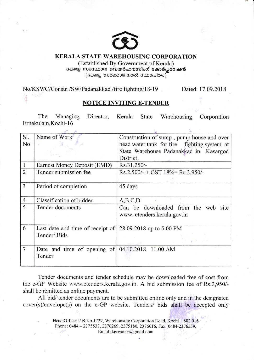

## KERALA STATE WAREHOUSING CORPORATION

(Established By Govemment of Kerala) കേരള സംസ്ഥാന വെയർഹൗസിംഗ് കോർപ്പറേഷൻ  $(\texttt{c#} \otimes \texttt{m} \otimes \texttt{m} \otimes \texttt{m} \otimes \texttt{m} \otimes \texttt{m} \otimes \texttt{m} \otimes \texttt{m} \otimes \texttt{m} \otimes \texttt{m} \otimes \texttt{m} \otimes \texttt{m} \otimes \texttt{m} \otimes \texttt{m} \otimes \texttt{m} \otimes \texttt{m} \otimes \texttt{m} \otimes \texttt{m} \otimes \texttt{m} \otimes \texttt{m} \otimes \texttt{m} \otimes \texttt{m} \otimes \texttt{m} \otimes \texttt{m} \otimes \text$ 

No/KSWC/Constn /SW/Padanakkad /fire fighting/18-19 Dated: 17.09.2018

星

## NOTICE INVITING E-TENDER

The Managing Director, Kerala State Warehousing Corporation Emakulam,Kochi- l6

| Sl.            | Name of Work                                                 | Construction of sump, pump house and over   |  |  |
|----------------|--------------------------------------------------------------|---------------------------------------------|--|--|
| N <sub>o</sub> |                                                              | head water tank for fire fighting system at |  |  |
|                |                                                              | State Warehouse Padanakkad in Kasargod      |  |  |
|                |                                                              | District.                                   |  |  |
| $\mathbf{1}$   | Earnest Money Deposit (EMD)                                  | Rs.31,250/-                                 |  |  |
| $\overline{2}$ | Tender submission fee                                        | $Rs.2,500/- + GST$ 18%= $Rs.2,950/-$        |  |  |
|                |                                                              |                                             |  |  |
| 3              | Period of completion                                         | 45 days                                     |  |  |
|                |                                                              |                                             |  |  |
| $\overline{4}$ | Classification of bidder                                     | A,B,C,D                                     |  |  |
| 5              | Tender documents                                             | Can be downloaded from the web site         |  |  |
|                |                                                              | www. etenders.kerala.gov.in                 |  |  |
|                |                                                              |                                             |  |  |
| 6              | Last date and time of receipt of $ 28.09.2018$ up to 5.00 PM |                                             |  |  |
|                | Tender/Bids                                                  |                                             |  |  |
|                |                                                              |                                             |  |  |
| $\overline{7}$ | Date and time of opening of                                  | 04.10.2018 11.00 AM                         |  |  |
|                | Tender                                                       |                                             |  |  |
|                |                                                              |                                             |  |  |

Tender documents and tender schedule may be downloaded free of cost from the e-GP Website www.etenders.kerala.gov.in. A bid submission fee of Rs.2,950/shall be remitted as online payment.

All bid/ tender documents are to be submitted online only and in the designated cover(s)/envelope(s) on the e-GP website. Tenders/ bids shall be accepted only

> Head Office: P.B No.1727, Warehousing Corporation Road, Kochi - 682 016 Phone: 0484 - 2375537, 2376269, 2375180, 2376616, Fax: 0484-2376339, Email: kerwacor(@gmail.com

> > $\overline{\mathbf{r}}$